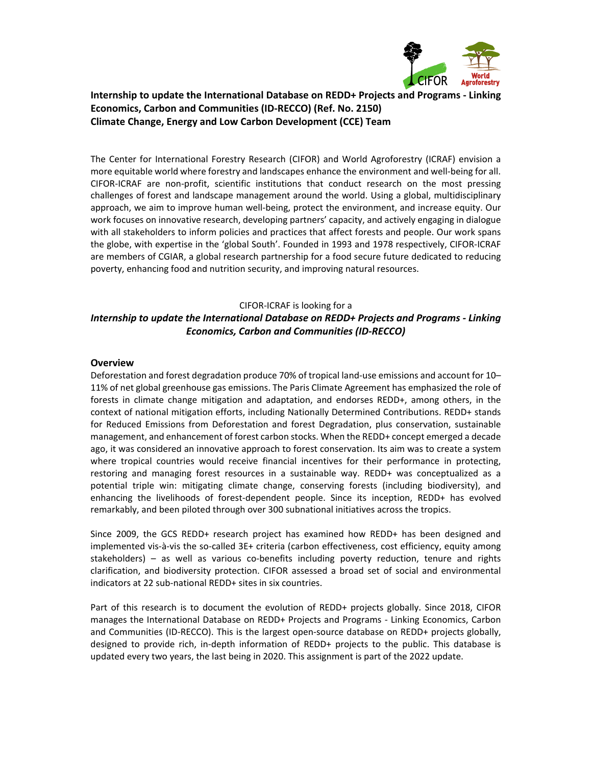

# **Internship to update the International Database on REDD+ Projects and Programs ‐ Linking Economics, Carbon and Communities (ID‐RECCO) (Ref. No. 2150) Climate Change, Energy and Low Carbon Development (CCE) Team**

The Center for International Forestry Research (CIFOR) and World Agroforestry (ICRAF) envision a more equitable world where forestry and landscapes enhance the environment and well‐being for all. CIFOR‐ICRAF are non‐profit, scientific institutions that conduct research on the most pressing challenges of forest and landscape management around the world. Using a global, multidisciplinary approach, we aim to improve human well‐being, protect the environment, and increase equity. Our work focuses on innovative research, developing partners' capacity, and actively engaging in dialogue with all stakeholders to inform policies and practices that affect forests and people. Our work spans the globe, with expertise in the 'global South'. Founded in 1993 and 1978 respectively, CIFOR‐ICRAF are members of CGIAR, a global research partnership for a food secure future dedicated to reducing poverty, enhancing food and nutrition security, and improving natural resources.

#### CIFOR‐ICRAF is looking for a

# *Internship to update the International Database on REDD+ Projects and Programs ‐ Linking Economics, Carbon and Communities (ID‐RECCO)*

#### **Overview**

Deforestation and forest degradation produce 70% of tropical land‐use emissions and account for 10– 11% of net global greenhouse gas emissions. The Paris Climate Agreement has emphasized the role of forests in climate change mitigation and adaptation, and endorses REDD+, among others, in the context of national mitigation efforts, including Nationally Determined Contributions. REDD+ stands for Reduced Emissions from Deforestation and forest Degradation, plus conservation, sustainable management, and enhancement of forest carbon stocks. When the REDD+ concept emerged a decade ago, it was considered an innovative approach to forest conservation. Its aim was to create a system where tropical countries would receive financial incentives for their performance in protecting, restoring and managing forest resources in a sustainable way. REDD+ was conceptualized as a potential triple win: mitigating climate change, conserving forests (including biodiversity), and enhancing the livelihoods of forest-dependent people. Since its inception, REDD+ has evolved remarkably, and been piloted through over 300 subnational initiatives across the tropics.

Since 2009, the GCS REDD+ research project has examined how REDD+ has been designed and implemented vis‐à‐vis the so‐called 3E+ criteria (carbon effectiveness, cost efficiency, equity among stakeholders)  $-$  as well as various co-benefits including poverty reduction, tenure and rights clarification, and biodiversity protection. CIFOR assessed a broad set of social and environmental indicators at 22 sub‐national REDD+ sites in six countries.

Part of this research is to document the evolution of REDD+ projects globally. Since 2018, CIFOR manages the International Database on REDD+ Projects and Programs ‐ Linking Economics, Carbon and Communities (ID‐RECCO). This is the largest open‐source database on REDD+ projects globally, designed to provide rich, in‐depth information of REDD+ projects to the public. This database is updated every two years, the last being in 2020. This assignment is part of the 2022 update.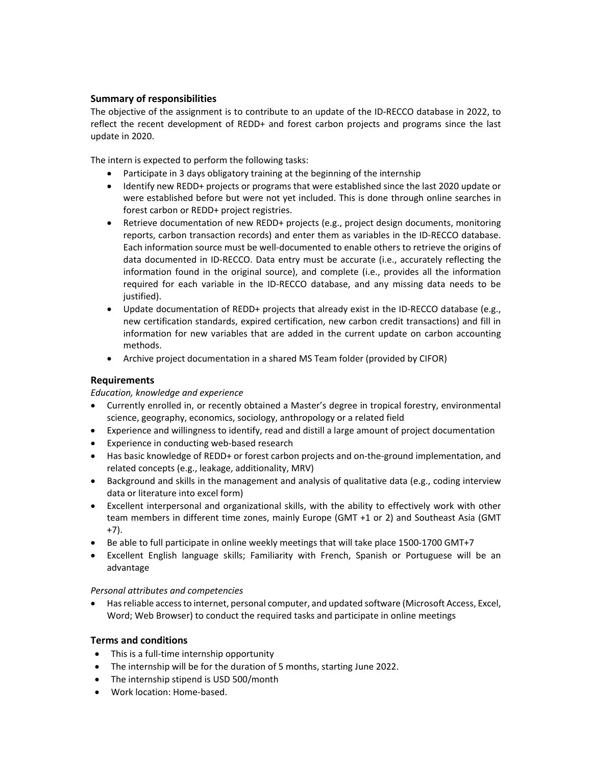# **Summary of responsibilities**

The objective of the assignment is to contribute to an update of the ID-RECCO database in 2022, to reflect the recent development of REDD+ and forest carbon projects and programs since the last update in 2020.

The intern is expected to perform the following tasks:

- Participate in 3 days obligatory training at the beginning of the internship
- Identify new REDD+ projects or programs that were established since the last 2020 update or were established before but were not yet included. This is done through online searches in forest carbon or REDD+ project registries.
- Retrieve documentation of new REDD+ projects (e.g., project design documents, monitoring reports, carbon transaction records) and enter them as variables in the ID‐RECCO database. Each information source must be well‐documented to enable others to retrieve the origins of data documented in ID-RECCO. Data entry must be accurate (i.e., accurately reflecting the information found in the original source), and complete (i.e., provides all the information required for each variable in the ID‐RECCO database, and any missing data needs to be justified).
- Update documentation of REDD+ projects that already exist in the ID-RECCO database (e.g., new certification standards, expired certification, new carbon credit transactions) and fill in information for new variables that are added in the current update on carbon accounting methods.
- Archive project documentation in a shared MS Team folder (provided by CIFOR)

## **Requirements**

*Education, knowledge and experience* 

- Currently enrolled in, or recently obtained a Master's degree in tropical forestry, environmental science, geography, economics, sociology, anthropology or a related field
- Experience and willingness to identify, read and distill a large amount of project documentation
- Experience in conducting web-based research
- Has basic knowledge of REDD+ or forest carbon projects and on-the-ground implementation, and related concepts (e.g., leakage, additionality, MRV)
- Background and skills in the management and analysis of qualitative data (e.g., coding interview data or literature into excel form)
- Excellent interpersonal and organizational skills, with the ability to effectively work with other team members in different time zones, mainly Europe (GMT +1 or 2) and Southeast Asia (GMT +7).
- Be able to full participate in online weekly meetings that will take place 1500-1700 GMT+7
- Excellent English language skills; Familiarity with French, Spanish or Portuguese will be an advantage

#### *Personal attributes and competencies*

 Has reliable access to internet, personal computer, and updated software (Microsoft Access, Excel, Word; Web Browser) to conduct the required tasks and participate in online meetings

## **Terms and conditions**

- This is a full-time internship opportunity
- The internship will be for the duration of 5 months, starting June 2022.
- The internship stipend is USD 500/month
- Work location: Home-based.